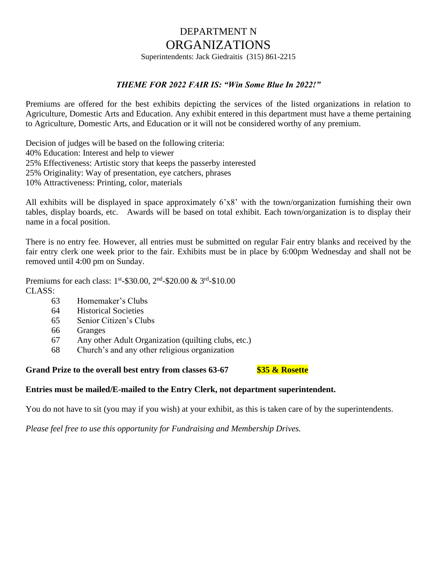# DEPARTMENT N ORGANIZATIONS

Superintendents: Jack Giedraitis (315) 861-2215

#### *THEME FOR 2022 FAIR IS: "Win Some Blue In 2022!"*

Premiums are offered for the best exhibits depicting the services of the listed organizations in relation to Agriculture, Domestic Arts and Education. Any exhibit entered in this department must have a theme pertaining to Agriculture, Domestic Arts, and Education or it will not be considered worthy of any premium.

Decision of judges will be based on the following criteria: 40% Education: Interest and help to viewer 25% Effectiveness: Artistic story that keeps the passerby interested 25% Originality: Way of presentation, eye catchers, phrases 10% Attractiveness: Printing, color, materials

All exhibits will be displayed in space approximately 6'x8' with the town/organization furnishing their own tables, display boards, etc. Awards will be based on total exhibit. Each town/organization is to display their name in a focal position.

There is no entry fee. However, all entries must be submitted on regular Fair entry blanks and received by the fair entry clerk one week prior to the fair. Exhibits must be in place by 6:00pm Wednesday and shall not be removed until 4:00 pm on Sunday.

Premiums for each class: 1<sup>st</sup>-\$30.00, 2<sup>nd</sup>-\$20.00 & 3<sup>rd</sup>-\$10.00 CLASS:

- 63 Homemaker's Clubs
- 64 Historical Societies
- 65 Senior Citizen's Clubs
- 66 Granges
- 67 Any other Adult Organization (quilting clubs, etc.)
- 68 Church's and any other religious organization

## **Grand Prize to the overall best entry from classes 63-67 \$35 & Rosette**

#### **Entries must be mailed/E-mailed to the Entry Clerk, not department superintendent.**

You do not have to sit (you may if you wish) at your exhibit, as this is taken care of by the superintendents.

*Please feel free to use this opportunity for Fundraising and Membership Drives.*